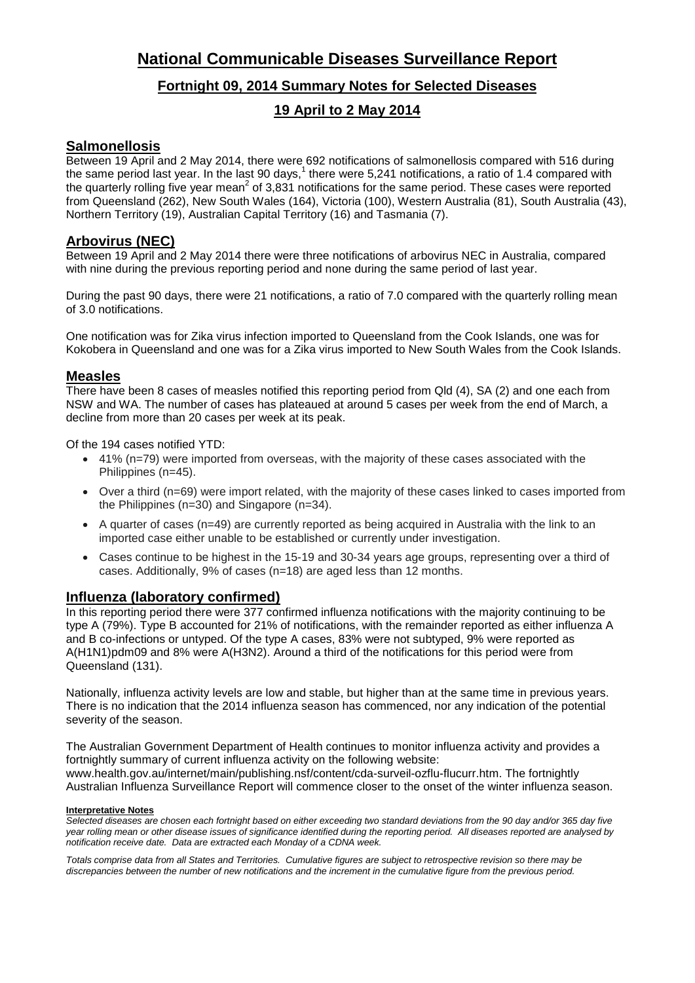# **National Communicable Diseases Surveillance Report**

## **Fortnight 09, 2014 Summary Notes for Selected Diseases**

## **19 April to 2 May 2014**

### **Salmonellosis**

Between 19 April and 2 May 2014, there were 692 notifications of salmonellosis compared with 516 during the same period last year. In the last 90 days,<sup>1</sup> there were 5,241 notifications, a ratio of 1.4 compared with the quarterly rolling five year mean<sup>2</sup> of 3,831 notifications for the same period. These cases were reported from Queensland (262), New South Wales (164), Victoria (100), Western Australia (81), South Australia (43), Northern Territory (19), Australian Capital Territory (16) and Tasmania (7).

### **Arbovirus (NEC)**

Between 19 April and 2 May 2014 there were three notifications of arbovirus NEC in Australia, compared with nine during the previous reporting period and none during the same period of last year.

During the past 90 days, there were 21 notifications, a ratio of 7.0 compared with the quarterly rolling mean of 3.0 notifications.

One notification was for Zika virus infection imported to Queensland from the Cook Islands, one was for Kokobera in Queensland and one was for a Zika virus imported to New South Wales from the Cook Islands.

### **Measles**

There have been 8 cases of measles notified this reporting period from Qld (4), SA (2) and one each from NSW and WA. The number of cases has plateaued at around 5 cases per week from the end of March, a decline from more than 20 cases per week at its peak.

Of the 194 cases notified YTD:

- 41% (n=79) were imported from overseas, with the majority of these cases associated with the Philippines (n=45).
- Over a third (n=69) were import related, with the majority of these cases linked to cases imported from the Philippines (n=30) and Singapore (n=34).
- A quarter of cases (n=49) are currently reported as being acquired in Australia with the link to an imported case either unable to be established or currently under investigation.
- Cases continue to be highest in the 15-19 and 30-34 years age groups, representing over a third of cases. Additionally, 9% of cases (n=18) are aged less than 12 months.

### **Influenza (laboratory confirmed)**

In this reporting period there were 377 confirmed influenza notifications with the majority continuing to be type A (79%). Type B accounted for 21% of notifications, with the remainder reported as either influenza A and B co-infections or untyped. Of the type A cases, 83% were not subtyped, 9% were reported as A(H1N1)pdm09 and 8% were A(H3N2). Around a third of the notifications for this period were from Queensland (131).

Nationally, influenza activity levels are low and stable, but higher than at the same time in previous years. There is no indication that the 2014 influenza season has commenced, nor any indication of the potential severity of the season.

The Australian Government Department of Health continues to monitor influenza activity and provides a fortnightly summary of current influenza activity on the following website: www.health.gov.au/internet/main/publishing.nsf/content/cda-surveil-ozflu-flucurr.htm. The fortnightly Australian Influenza Surveillance Report will commence closer to the onset of the winter influenza season.

#### **Interpretative Notes**

*Selected diseases are chosen each fortnight based on either exceeding two standard deviations from the 90 day and/or 365 day five year rolling mean or other disease issues of significance identified during the reporting period. All diseases reported are analysed by notification receive date. Data are extracted each Monday of a CDNA week.*

*Totals comprise data from all States and Territories. Cumulative figures are subject to retrospective revision so there may be discrepancies between the number of new notifications and the increment in the cumulative figure from the previous period.*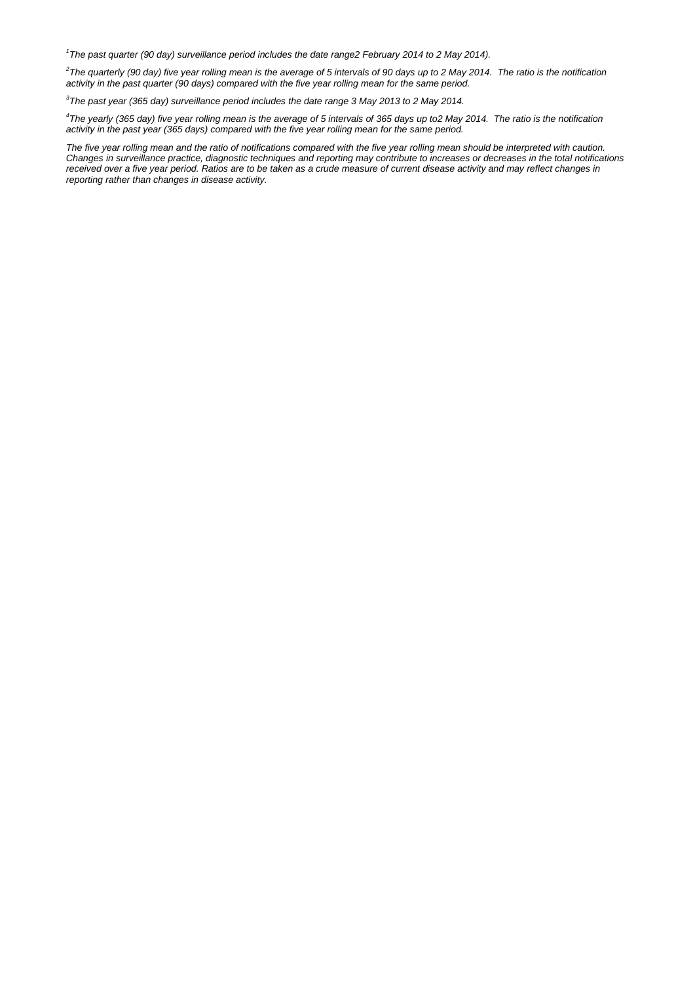*1 The past quarter (90 day) surveillance period includes the date range2 February 2014 to 2 May 2014).* 

*2 The quarterly (90 day) five year rolling mean is the average of 5 intervals of 90 days up to 2 May 2014. The ratio is the notification activity in the past quarter (90 days) compared with the five year rolling mean for the same period.*

*3 The past year (365 day) surveillance period includes the date range 3 May 2013 to 2 May 2014.* 

*4 The yearly (365 day) five year rolling mean is the average of 5 intervals of 365 days up to2 May 2014. The ratio is the notification activity in the past year (365 days) compared with the five year rolling mean for the same period.*

The five year rolling mean and the ratio of notifications compared with the five year rolling mean should be interpreted with caution. *Changes in surveillance practice, diagnostic techniques and reporting may contribute to increases or decreases in the total notifications received over a five year period. Ratios are to be taken as a crude measure of current disease activity and may reflect changes in reporting rather than changes in disease activity.*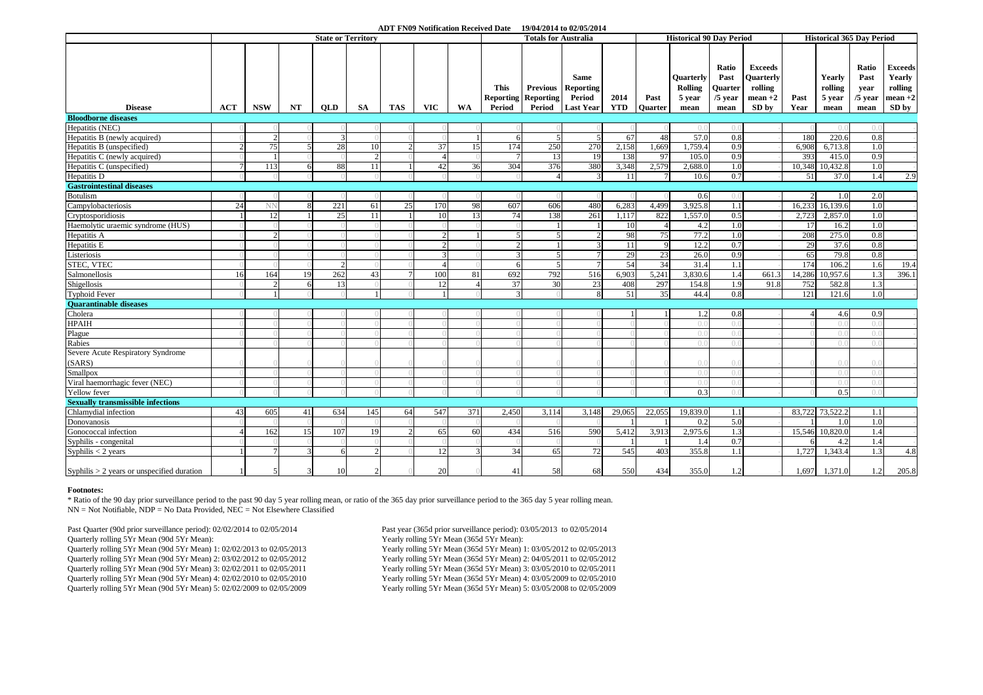#### **ADT FN09 Notification Received Date 19/04/2014 to 02/05/2014**

|                                              | <b>State or Territory</b> |                |           |               |           |            |            |                         |                                    | <b>Totals for Australia</b>                   | <b>Historical 90 Day Period</b>                        |                    |                        |                                        | <b>Historical 365 Day Period</b>              |                                                              |                  |                                            |                                            |                                                                  |
|----------------------------------------------|---------------------------|----------------|-----------|---------------|-----------|------------|------------|-------------------------|------------------------------------|-----------------------------------------------|--------------------------------------------------------|--------------------|------------------------|----------------------------------------|-----------------------------------------------|--------------------------------------------------------------|------------------|--------------------------------------------|--------------------------------------------|------------------------------------------------------------------|
| <b>Disease</b>                               | <b>ACT</b>                | <b>NSW</b>     | <b>NT</b> | <b>OLD</b>    | <b>SA</b> | <b>TAS</b> | <b>VIC</b> | <b>WA</b>               | <b>This</b><br>Reporting<br>Period | <b>Previous</b><br><b>Reporting</b><br>Period | Same<br><b>Reporting</b><br>Period<br><b>Last Year</b> | 2014<br><b>YTD</b> | Past<br><b>Ouarter</b> | Quarterly<br>Rolling<br>5 year<br>mean | Ratio<br>Past<br>Quarter<br>$/5$ year<br>mean | <b>Exceeds</b><br>Ouarterly<br>rolling<br>$mean +2$<br>SD by | Past<br>Year     | <b>Yearly</b><br>rolling<br>5 year<br>mean | Ratio<br>Past<br>year<br>$/5$ year<br>mean | <b>Exceeds</b><br><b>Yearly</b><br>rolling<br>$mean +2$<br>SD by |
| <b>Bloodborne diseases</b>                   |                           |                |           |               |           |            |            |                         |                                    |                                               |                                                        |                    |                        |                                        |                                               |                                                              |                  |                                            |                                            |                                                                  |
| Hepatitis (NEC)                              |                           |                |           |               |           |            |            |                         |                                    |                                               |                                                        |                    |                        | ( ) . ( )                              | $\bigcap$                                     |                                                              |                  |                                            | $\Omega$                                   |                                                                  |
| Hepatitis B (newly acquired)                 |                           | $\mathcal{D}$  |           | $\mathbf{3}$  |           |            |            |                         | -6                                 |                                               |                                                        | 67                 | 48                     | 57.0                                   | 0.8                                           |                                                              | 180              | 220.6                                      | 0.8                                        |                                                                  |
| Hepatitis B (unspecified)                    | $\mathfrak{D}$            | 75             |           | 28            | 10        |            | 37         | 15                      | 174                                | 250                                           | 270                                                    | 2,158              | 1,669                  | .759.4                                 | 0.9                                           |                                                              | 6,908            | 6,713.8                                    | 1.0                                        |                                                                  |
| Hepatitis C (newly acquired)                 |                           |                |           |               |           |            | $\Delta$   |                         |                                    | 13                                            | -19                                                    | 138                | 97                     | 105.0                                  | 0.9                                           |                                                              | 393              | 415.0                                      | 0.9                                        |                                                                  |
| Hepatitis C (unspecified)                    | $7\phantom{.}$            | 113            |           | 88            | 11        |            | 42         | 36                      | 304                                | 376                                           | 380                                                    | 3,348              | 2,579                  | 2,688.0                                | 1.0                                           |                                                              | 10,348           | 10,432.8                                   | 1.0                                        |                                                                  |
| Hepatitis D                                  |                           |                |           |               |           |            |            |                         |                                    | $\overline{4}$                                | -3                                                     | 11                 |                        | 10.6                                   | 0.7                                           |                                                              | 51               | 37.0                                       | 1.4                                        | 2.9                                                              |
| <b>Gastrointestinal diseases</b>             |                           |                |           |               |           |            |            |                         |                                    |                                               |                                                        |                    |                        |                                        |                                               |                                                              |                  |                                            |                                            |                                                                  |
| <b>Botulism</b>                              |                           |                |           |               |           |            |            |                         |                                    |                                               |                                                        |                    |                        | 0.6                                    | $\Omega$                                      |                                                              |                  | 1.0                                        | 2.0                                        |                                                                  |
| Campylobacteriosis                           | 24                        | NN             |           | 221           | 61        | 25         | 170        | 98                      | 607                                | 606                                           | 480                                                    | 6.283              | 4.499                  | 3,925.8                                | 1.1                                           |                                                              | 16,23            | 16.139.6                                   | 1.0                                        |                                                                  |
| Cryptosporidiosis                            |                           | 12             |           | 25            | 11        |            | 10         | 13                      | 74                                 | 138                                           | 261                                                    | 1.117              | 822                    | .557.0                                 | 0.5                                           |                                                              | 2.723            | 2.857.0                                    | 1.0                                        |                                                                  |
| Haemolytic uraemic syndrome (HUS)            |                           |                |           |               |           |            |            |                         |                                    |                                               |                                                        | 10                 |                        | 4.2                                    | 1.0                                           |                                                              | 17               | 16.2                                       | 1.0                                        |                                                                  |
| Hepatitis A                                  |                           |                |           |               |           |            |            |                         |                                    |                                               |                                                        | 98                 | 75                     | 77.2                                   | 1.0                                           |                                                              | 208              | 275.0                                      | 0.8                                        |                                                                  |
| Hepatitis E                                  |                           |                |           |               |           |            |            |                         |                                    |                                               |                                                        | 11                 | <sup>Q</sup>           | 12.2                                   | 0.7                                           |                                                              | 29               | 37.6                                       | 0.8                                        |                                                                  |
| Listeriosis                                  |                           |                |           |               |           |            |            |                         |                                    |                                               |                                                        | 29                 | 23                     | 26.0                                   | 0.9                                           |                                                              | 65               | 79.8                                       | 0.8                                        |                                                                  |
| STEC, VTEC                                   |                           |                |           | $\mathcal{D}$ |           |            | $\Delta$   |                         |                                    |                                               | -7                                                     | 54                 | 34                     | 31.4                                   | 1.1                                           |                                                              | 174              | 106.2                                      | 1.6                                        | 19.4                                                             |
| Salmonellosis                                | 16                        | 164            | 19        | 262           | 43        |            | 100        | 81                      | 692                                | 792                                           | 516                                                    | 6,903              | 5,241                  | 3,830.6                                | 1.4                                           | 661.3                                                        | 14,286           | 10,957.6                                   | 1.3                                        | 396.1                                                            |
| Shigellosis                                  |                           |                | 6         | 13            |           |            | 12         | $\overline{4}$          | 37                                 | 30                                            | 23                                                     | 408                | 297                    | 154.8                                  | 1.9                                           | 91.8                                                         | 752              | 582.8                                      | 1.3                                        |                                                                  |
| <b>Typhoid Fever</b>                         |                           |                |           |               |           |            |            |                         | 3                                  |                                               | 8                                                      | 51                 | 35                     | 44.4                                   | 0.8                                           |                                                              | $\overline{121}$ | 121.6                                      | 1.0                                        |                                                                  |
| <b>Ouarantinable diseases</b>                |                           |                |           |               |           |            |            |                         |                                    |                                               |                                                        |                    |                        |                                        |                                               |                                                              |                  |                                            |                                            |                                                                  |
| Cholera                                      |                           |                |           |               |           |            |            |                         |                                    |                                               |                                                        |                    |                        | 1.2                                    | 0.8                                           |                                                              |                  | 4.6                                        | 0.9                                        |                                                                  |
| <b>HPAIH</b>                                 |                           |                |           |               |           |            |            |                         |                                    |                                               |                                                        |                    |                        | (                                      | $\left( \right)$                              |                                                              |                  | $\Omega$                                   | $\Omega$                                   |                                                                  |
| Plague                                       |                           |                |           |               |           |            |            |                         |                                    |                                               |                                                        |                    |                        | (                                      | $\bigcirc$                                    |                                                              |                  | ()()                                       | ()()                                       |                                                                  |
| Rabies                                       |                           |                |           |               |           |            |            |                         |                                    |                                               |                                                        |                    |                        | ( ) . ( )                              | $\left( \right)$                              |                                                              |                  | (                                          | $\bigcap$                                  |                                                                  |
| Severe Acute Respiratory Syndrome<br>(SARS)  |                           |                |           |               |           |            |            |                         |                                    |                                               |                                                        |                    |                        | $( )_{0}$                              | ( ) . ( )                                     |                                                              |                  | ()()                                       | $( )_{.} ( )$                              |                                                                  |
| Smallpox                                     |                           |                |           |               |           |            |            |                         |                                    |                                               |                                                        |                    |                        | $()$ .                                 | $\left($                                      |                                                              |                  | (                                          | 0.(                                        |                                                                  |
| Viral haemorrhagic fever (NEC)               |                           |                |           |               |           |            |            |                         |                                    |                                               |                                                        |                    |                        | ( ) . ( )                              | $\Omega$                                      |                                                              |                  | $( )_{0}$                                  | (0.0)                                      |                                                                  |
| Yellow fever                                 |                           |                |           |               |           |            |            |                         |                                    |                                               |                                                        |                    |                        | 0.3                                    | $\Omega$                                      |                                                              |                  | 0.5                                        | ( ) . ( )                                  |                                                                  |
| <b>Sexually transmissible infections</b>     |                           |                |           |               |           |            |            |                         |                                    |                                               |                                                        |                    |                        |                                        |                                               |                                                              |                  |                                            |                                            |                                                                  |
| Chlamydial infection                         | 43                        | 605            | 41        | 634           | 145       | 64         | 547        | 371                     | 2,450                              | 3,114                                         | 3,148                                                  | 29,065             | 22,055                 | 19,839.0                               | 1.1                                           |                                                              |                  | 83,722 73,522.2                            | 1.1                                        |                                                                  |
| Donovanosis                                  |                           |                |           |               |           |            |            |                         |                                    |                                               |                                                        |                    |                        | 0.2                                    | 5.0                                           |                                                              |                  | 1.0                                        | 1.0                                        |                                                                  |
| Gonococcal infection                         |                           | 162            | 15        | 107           | 19        |            | 65         | 60                      | 434                                | 516                                           | 590                                                    | 5,412              | 3,913                  | 2,975.6                                | 1.3                                           |                                                              |                  | 15,546 10,820.0                            | 1.4                                        |                                                                  |
| Syphilis - congenital                        |                           |                |           |               |           |            |            |                         |                                    |                                               |                                                        |                    |                        | 1.4                                    | 0.7                                           |                                                              |                  | 4.2                                        | 1.4                                        |                                                                  |
| Syphilis $<$ 2 years                         |                           | $\overline{7}$ |           | 6             |           |            | 12         | $\overline{\mathbf{3}}$ | 34                                 | 65                                            | 72                                                     | 545                | 403                    | 355.8                                  | 1.1                                           |                                                              | 1,727            | 1,343.4                                    | 1.3                                        | 4.8                                                              |
| Syphilis $> 2$ years or unspecified duration |                           |                |           | 10            |           |            | 20         |                         | 41                                 | 58                                            | 68                                                     | 550                | 434                    | 355.0                                  | 1.2                                           |                                                              | 1.697            | 1,371.0                                    | 1.2                                        | 205.8                                                            |

#### **Footnotes:**

\* Ratio of the 90 day prior surveillance period to the past 90 day 5 year rolling mean, or ratio of the 365 day prior surveillance period to the 365 day 5 year rolling mean. NN = Not Notifiable, NDP = No Data Provided, NEC = Not Elsewhere Classified

Past Quarter (90d prior surveillance period): 02/02/2014 to 02/05/2014 Past year (365d prior surveillance period): 03/05/2013 to 02/05/2014<br>
Past yearly rolling 5Yr Mean (365d 5Yr Mean): Present of Direct Prior Syr Mean (3 Quarterly rolling 5Yr Mean (90d 5Yr Mean): Quarterly rolling 5Yr Mean (90d 5Yr Mean) 1: 02/02/2013 to 02/05/2013 Yearly rolling 5Yr Mean (365d 5Yr Mean) 1: 03/05/2012 to 02/05/2013 Quarterly rolling 5Yr Mean (90d 5Yr Mean) 2: 03/02/2012 to 02/05/2012 Yearly rolling 5Yr Mean (365d 5Yr Mean) 2: 04/05/2011 to 02/05/2012 Quarterly rolling 5Yr Mean (90d 5Yr Mean) 3: 02/02/2011 to 02/05/2011 Yearly rolling 5Yr Mean (365d 5Yr Mean) 3: 03/05/2010 to 02/05/2011 Quarterly rolling 5Yr Mean (90d 5Yr Mean) 4: 02/02/2010 to 02/05/2010 Yearly rolling 5Yr Mean (365d 5Yr Mean) 4: 03/05/2009 to 02/05/2010 Quarterly rolling 5Yr Mean (90d 5Yr Mean) 5: 02/02/2009 to 02/05/2009